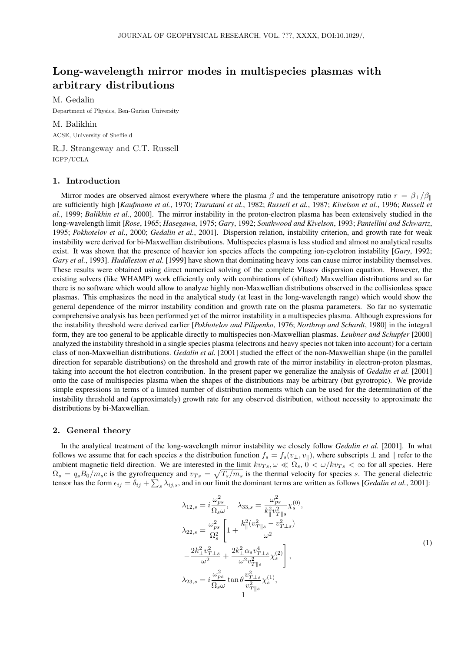# Long-wavelength mirror modes in multispecies plasmas with arbitrary distributions

M. Gedalin

Department of Physics, Ben-Gurion University

M. Balikhin ACSE, University of Sheffield

R.J. Strangeway and C.T. Russell IGPP/UCLA

# 1. Introduction

Mirror modes are observed almost everywhere where the plasma  $\beta$  and the temperature anisotropy ratio  $r = \beta_{\perp}/\beta_{\parallel}$ are sufficiently high [*Kaufmann et al.*, 1970; *Tsurutani et al.*, 1982; *Russell et al.*, 1987; *Kivelson et al.*, 1996; *Russell et al.*, 1999; *Balikhin et al.*, 2000]. The mirror instability in the proton-electron plasma has been extensively studied in the long-wavelength limit [*Rose*, 1965; *Hasegawa*, 1975; *Gary*, 1992; *Southwood and Kivelson*, 1993; *Pantellini and Schwartz*, 1995; *Pokhotelov et al.*, 2000; *Gedalin et al.*, 2001]. Dispersion relation, instability criterion, and growth rate for weak instability were derived for bi-Maxwellian distributions. Multispecies plasma is less studied and almost no analytical results exist. It was shown that the presence of heavier ion species affects the competing ion-cyclotron instability [*Gary*, 1992; *Gary et al.*, 1993]. *Huddleston et al.* [1999] have shown that dominating heavy ions can cause mirror instability themselves. These results were obtained using direct numerical solving of the complete Vlasov dispersion equation. However, the existing solvers (like WHAMP) work efficiently only with combinations of (shifted) Maxwellian distributions and so far there is no software which would allow to analyze highly non-Maxwellian distributions observed in the collisionless space plasmas. This emphasizes the need in the analytical study (at least in the long-wavelength range) which would show the general dependence of the mirror instability condition and growth rate on the plasma parameters. So far no systematic comprehensive analysis has been performed yet of the mirror instability in a multispecies plasma. Although expressions for the instability threshold were derived earlier [*Pokhotelov and Pilipenko*, 1976; *Northrop and Schardt*, 1980] in the integral form, they are too general to be applicable directly to multispecies non-Maxwellian plasmas. *Leubner and Schupfer* [2000] analyzed the instability threshold in a single species plasma (electrons and heavy species not taken into account) for a certain class of non-Maxwellian distributions. *Gedalin et al.* [2001] studied the effect of the non-Maxwellian shape (in the parallel direction for separable distributions) on the threshold and growth rate of the mirror instability in electron-proton plasmas, taking into account the hot electron contribution. In the present paper we generalize the analysis of *Gedalin et al.* [2001] onto the case of multispecies plasma when the shapes of the distributions may be arbitrary (but gyrotropic). We provide simple expressions in terms of a limited number of distribution moments which can be used for the determination of the instability threshold and (approximately) growth rate for any observed distribution, without necessity to approximate the distributions by bi-Maxwellian.

# 2. General theory

In the analytical treatment of the long-wavelength mirror instability we closely follow *Gedalin et al.* [2001]. In what follows we assume that for each species s the distribution function  $f_s = f_s(v_\perp, v_\parallel)$ , where subscripts  $\perp$  and  $\parallel$  refer to the ambient magnetic field direction. We are interested in the limit  $kv_{Ts}$ ,  $\omega \ll \Omega_s$ ,  $0 < \omega / kv_{Ts} < \infty$  for all species. Here  $\Omega_s = q_s B_0/m_s c$  is the gyrofrequency and  $v_{Ts} = \sqrt{T_s/m_s}$  is the thermal velocity for species s. The general dielectric tensor has the form  $\epsilon_{ij} = \delta_{ij} + \sum_s \lambda_{ij,s}$ , and in our limit the dominant terms are written as follows [*Gedalin et al.*, 2001]:

$$
\lambda_{12,s} = i \frac{\omega_{ps}^2}{\Omega_s \omega}, \quad \lambda_{33,s} = \frac{\omega_{ps}^2}{k_{\parallel}^2 v_{T \parallel s}^2} \chi_s^{(0)},
$$
\n
$$
\lambda_{22,s} = \frac{\omega_{ps}^2}{\Omega_s^2} \left[ 1 + \frac{k_{\parallel}^2 (v_{T \parallel s}^2 - v_{T \perp s}^2)}{\omega^2} \right]
$$
\n
$$
- \frac{2k_{\perp}^2 v_{T \perp s}^2}{\omega^2} + \frac{2k_{\perp}^2 \alpha_s v_{T \perp s}^4}{\omega^2 v_{T \parallel s}^2} \chi_s^{(2)} \right],
$$
\n
$$
\lambda_{23,s} = i \frac{\omega_{ps}^2}{\Omega_s \omega} \tan \theta \frac{v_{T \perp s}^2}{v_{T \parallel s}^2} \chi_s^{(1)},
$$
\n
$$
1
$$
\n(1)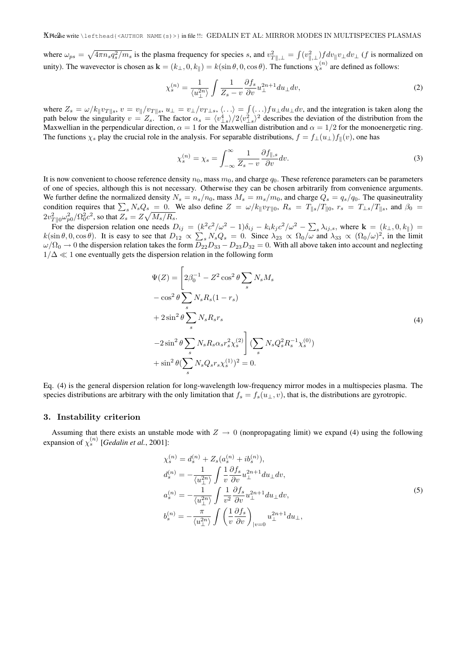where  $\omega_{ps} = \sqrt{4\pi n_s q_s^2/m_s}$  is the plasma frequency for species s, and  $v_{T\parallel,\perp}^2 = \int (v_{\parallel,\perp}^2) f dv_{\parallel} v_{\perp} dv_{\perp}$  (f is normalized on unity). The wavevector is chosen as  $\mathbf{k} = (k_{\perp}, 0, k_{\parallel}) = k(\sin \theta, 0, \cos \theta)$ . The functions  $\chi_s^{(n)}$  are defined as follows:

$$
\chi_s^{(n)} = \frac{1}{\langle u_\perp^{2n} \rangle} \int \frac{1}{Z_s - v} \frac{\partial f_s}{\partial v} u_\perp^{2n+1} du_\perp dv,\tag{2}
$$

where  $Z_s = \omega/k_{\parallel}v_{T\parallel s}$ ,  $v = v_{\parallel}/v_{T\parallel s}$ ,  $u_{\perp} = v_{\perp}/v_{T\perp s}$ ,  $\langle \ldots \rangle = \int (\ldots)fu_{\perp}du_{\perp}dv$ , and the integration is taken along the path below the singularity  $v = Z_s$ . The factor  $\alpha_s = \langle v_{\perp s}^4 \rangle / 2 \langle v_{\perp s}^2 \rangle^2$  describes the deviation of the distribution from the Maxwellian in the perpendicular direction,  $\alpha = 1$  for the Maxwellian distribution and  $\alpha = 1/2$  for the monoenergetic ring. The functions  $\chi_s$  play the crucial role in the analysis. For separable distributions,  $f = f_\perp(u_\perp)f_\parallel(v)$ , one has

$$
\chi_s^{(n)} = \chi_s = \int_{-\infty}^{\infty} \frac{1}{Z_s - v} \frac{\partial f_{\parallel,s}}{\partial v} dv.
$$
\n(3)

It is now convenient to choose reference density  $n_0$ , mass  $m_0$ , and charge  $q_0$ . These reference parameters can be parameters of one of species, although this is not necessary. Otherwise they can be chosen arbitrarily from convenience arguments. We further define the normalized density  $N_s = n_s/n_0$ , mass  $M_s = m_s/m_0$ , and charge  $Q_s = q_s/q_0$ . The quasineutrality condition requires that  $\sum_s N_sQ_s = 0$ . We also define  $Z = \omega/k_{\parallel}v_{T\parallel 0}$ ,  $R_s = T_{\parallel s}/T_{\parallel 0}$ ,  $r_s = T_{\perp s}/T_{\parallel s}$ , and  $\beta_0 =$  $2v_{T\parallel 0}^2\omega_{p0}^2/\Omega_0^2c^2,$  so that  $Z_s=Z\sqrt{M_s/R_s}.$ 

For the dispersion relation one needs  $D_{ij} = (k^2 c^2/\omega^2 - 1)\delta_{ij} - k_i k_j c^2/\omega^2 - \sum_s \lambda_{ij,s}$ , where  $\mathbf{k} = (k_{\perp}, 0, k_{\parallel}) =$  $k(\sin \theta, 0, \cos \theta)$ . It is easy to see that  $D_{12} \propto \sum_s N_s Q_s = 0$ . Since  $\lambda_{23} \propto \Omega_0/\omega$  and  $\lambda_{33} \propto (\Omega_0/\omega)^2$ , in the limit  $\omega/\Omega_0\to 0$  the dispersion relation takes the form  $D_{22}D_{33}-D_{23}D_{32}=0$ . With all above taken into account and neglecting  $1/\Delta \ll 1$  one eventually gets the dispersion relation in the following form

$$
\Psi(Z) = \left[2\beta_0^{-1} - Z^2 \cos^2 \theta \sum_s N_s M_s \right.\n- \cos^2 \theta \sum_s N_s R_s (1 - r_s)\n+ 2 \sin^2 \theta \sum_s N_s R_s r_s\n- 2 \sin^2 \theta \sum_s N_s R_s \alpha_s r_s^2 \chi_s^{(2)} \right] (\sum_s N_s Q_s^2 R_s^{-1} \chi_s^{(0)})\n+ \sin^2 \theta (\sum_s N_s Q_s r_s \chi_s^{(1)})^2 = 0.
$$
\n(4)

Eq. (4) is the general dispersion relation for long-wavelength low-frequency mirror modes in a multispecies plasma. The species distributions are arbitrary with the only limitation that  $f_s = f_s(u_\perp, v)$ , that is, the distributions are gyrotropic.

## 3. Instability criterion

Assuming that there exists an unstable mode with  $Z \rightarrow 0$  (nonpropagating limit) we expand (4) using the following expansion of  $\chi_s^{(n)}$  [*Gedalin et al.*, 2001]:

$$
\chi_s^{(n)} = d_s^{(n)} + Z_s(a_s^{(n)} + ib_s^{(n)}),
$$
  
\n
$$
d_s^{(n)} = -\frac{1}{\langle u_{\perp}^{2n} \rangle} \int \frac{1}{v} \frac{\partial f_s}{\partial v} u_{\perp}^{2n+1} du_{\perp} dv,
$$
  
\n
$$
a_s^{(n)} = -\frac{1}{\langle u_{\perp}^{2n} \rangle} \int \frac{1}{v^2} \frac{\partial f_s}{\partial v} u_{\perp}^{2n+1} du_{\perp} dv,
$$
  
\n
$$
b_s^{(n)} = -\frac{\pi}{\langle u_{\perp}^{2n} \rangle} \int \left(\frac{1}{v} \frac{\partial f_s}{\partial v}\right)_{|v=0} u_{\perp}^{2n+1} du_{\perp},
$$
\n(5)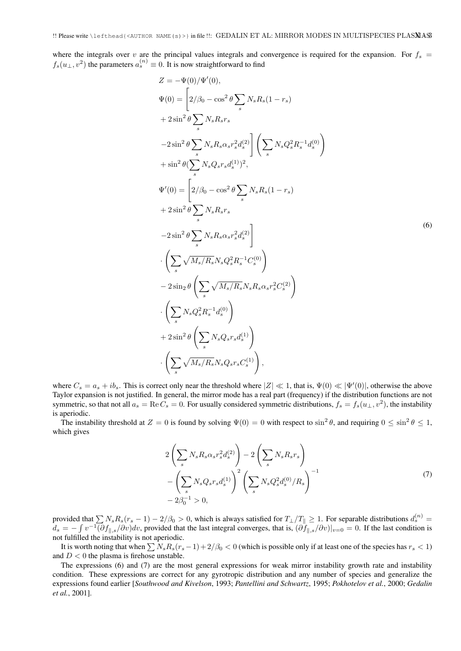where the integrals over v are the principal values integrals and convergence is required for the expansion. For  $f_s$  =  $f_s(u_\perp, v^2)$  the parameters  $a_s^{(n)} \equiv 0$ . It is now straightforward to find

$$
Z = -\Psi(0)/\Psi'(0),
$$
  
\n
$$
\Psi(0) = \left[2/\beta_0 - \cos^2{\theta} \sum_s N_s R_s (1 - r_s) + 2 \sin^2{\theta} \sum_s N_s R_s r_s\right]
$$
  
\n
$$
-2 \sin^2{\theta} \sum_s N_s R_s \alpha_s r_s^2 d_s^{(2)} \right] \left(\sum_s N_s Q_s^2 R_s^{-1} d_s^{(0)}\right)
$$
  
\n
$$
+ \sin^2{\theta} (\sum_s N_s Q_s r_s d_s^{(1)})^2,
$$
  
\n
$$
\Psi'(0) = \left[2/\beta_0 - \cos^2{\theta} \sum_s N_s R_s (1 - r_s) + 2 \sin^2{\theta} \sum_s N_s R_s r_s\right]
$$
  
\n
$$
-2 \sin^2{\theta} \sum_s N_s R_s \alpha_s r_s^2 d_s^{(2)} \right]
$$
  
\n
$$
\cdot \left(\sum_s \sqrt{M_s/R_s} N_s Q_s^2 R_s^{-1} C_s^{(0)}\right)
$$
  
\n
$$
-2 \sin_2{\theta} \left(\sum_s \sqrt{M_s/R_s} N_s R_s \alpha_s r_s^2 C_s^{(2)}\right)
$$
  
\n
$$
\cdot \left(\sum_s N_s Q_s^2 R_s^{-1} d_s^{(0)}\right)
$$
  
\n
$$
+ 2 \sin^2{\theta} \left(\sum_s N_s Q_s r_s d_s^{(1)}\right)
$$
  
\n
$$
\cdot \left(\sum_s \sqrt{M_s/R_s} N_s Q_s r_s C_s^{(1)}\right),
$$

where  $C_s = a_s + ib_s$ . This is correct only near the threshold where  $|Z| \ll 1$ , that is,  $\Psi(0) \ll |\Psi'(0)|$ , otherwise the above Taylor expansion is not justified. In general, the mirror mode has a real part (frequency) if the distribution functions are not symmetric, so that not all  $a_s = \text{Re}\,C_s = 0$ . For usually considered symmetric distributions,  $f_s = f_s(u_\perp, v^2)$ , the instability is aperiodic.

The instability threshold at  $Z = 0$  is found by solving  $\Psi(0) = 0$  with respect to  $\sin^2 \theta$ , and requiring  $0 \le \sin^2 \theta \le 1$ , which gives

$$
2\left(\sum_{s} N_{s} R_{s} \alpha_{s} r_{s}^{2} d_{s}^{(2)}\right) - 2\left(\sum_{s} N_{s} R_{s} r_{s}\right) - \left(\sum_{s} N_{s} Q_{s} r_{s} d_{s}^{(1)}\right)^{2} \left(\sum_{s} N_{s} Q_{s}^{2} d_{s}^{(0)} / R_{s}\right)^{-1} - 2\beta_{0}^{-1} > 0,
$$
\n(7)

provided that  $\sum N_s R_s(r_s - 1) - 2/\beta_0 > 0$ , which is always satisfied for  $T_\perp/T_\parallel \ge 1$ . For separable distributions  $d_s^{(n)}$  $d_s = -\int v^{-1} (\partial f_{\parallel,s}/\partial v) dv$ , provided that the last integral converges, that is,  $(\partial f_{\parallel,s}/\partial v)|_{v=0} = 0$ . If the last condition is not fulfilled the instability is not aperiodic.

It is worth noting that when  $\sum N_s R_s(r_s - 1) + 2/\beta_0 < 0$  (which is possible only if at least one of the species has  $r_s < 1$ ) and  $D < 0$  the plasma is firehose unstable.

The expressions (6) and (7) are the most general expressions for weak mirror instability growth rate and instability condition. These expressions are correct for any gyrotropic distribution and any number of species and generalize the expressions found earlier [*Southwood and Kivelson*, 1993; *Pantellini and Schwartz*, 1995; *Pokhotelov et al.*, 2000; *Gedalin et al.*, 2001].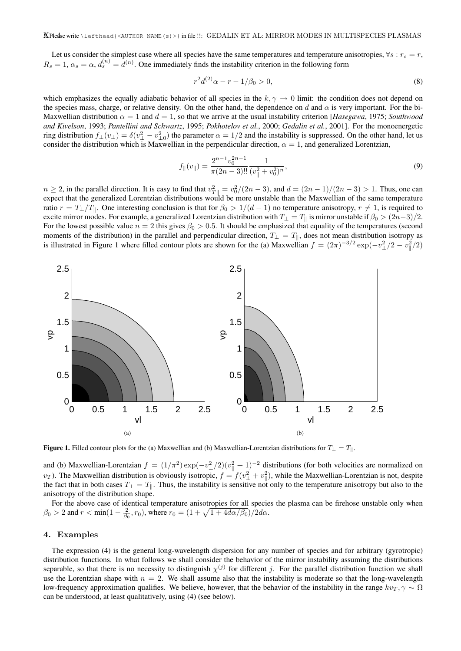Let us consider the simplest case where all species have the same temperatures and temperature anisotropies,  $\forall s : r_s = r$ ,  $R_s = 1, \alpha_s = \alpha, d_s^{(n)} = d^{(n)}$ . One immediately finds the instability criterion in the following form

$$
r^2 d^{(2)} \alpha - r - 1/\beta_0 > 0,\t\t(8)
$$

which emphasizes the equally adiabatic behavior of all species in the  $k, \gamma \rightarrow 0$  limit: the condition does not depend on the species mass, charge, or relative density. On the other hand, the dependence on d and  $\alpha$  is very important. For the bi-Maxwellian distribution  $\alpha = 1$  and  $d = 1$ , so that we arrive at the usual instability criterion [*Hasegawa*, 1975; *Southwood and Kivelson*, 1993; *Pantellini and Schwartz*, 1995; *Pokhotelov et al.*, 2000; *Gedalin et al.*, 2001]. For the monoenergetic ring distribution  $f_{\perp}(v_{\perp}) = \delta(v_{\perp}^2 - v_{\perp 0}^2)$  the parameter  $\alpha = 1/2$  and the instability is suppressed. On the other hand, let us consider the distribution which is Maxwellian in the perpendicular direction,  $\alpha = 1$ , and generalized Lorentzian,

$$
f_{\parallel}(v_{\parallel}) = \frac{2^{n-1}v_0^{2n-1}}{\pi(2n-3)!!} \frac{1}{(v_{\parallel}^2 + v_0^2)^n},\tag{9}
$$

 $n \ge 2$ , in the parallel direction. It is easy to find that  $v_{T\parallel}^2 = v_0^2/(2n-3)$ , and  $d = (2n-1)/(2n-3) > 1$ . Thus, one can expect that the generalized Lorentzian distributions would be more unstable than the Maxwellian of the same temperature ratio  $r = T_+/T_$ H. One interesting conclusion is that for  $\beta_0 > 1/(d-1)$  no temperature anisotropy,  $r \neq 1$ , is required to excite mirror modes. For example, a generalized Lorentzian distribution with  $T_{\perp} = T_{\parallel}$  is mirror unstable if  $\beta_0 > (2n-3)/2$ . For the lowest possible value  $n = 2$  this gives  $\beta_0 > 0.5$ . It should be emphasized that equality of the temperatures (second moments of the distribution) in the parallel and perpendicular direction,  $T_{\perp} = T_{\parallel}$ , does not mean distribution isotropy as is illustrated in Figure 1 where filled contour plots are shown for the (a) Maxwellian  $f = (2\pi)^{-3/2} \exp(-v_\perp^2/2 - v_\parallel^2/2)$ 



Figure 1. Filled contour plots for the (a) Maxwellian and (b) Maxwellian-Lorentzian distributions for  $T_{\perp} = T_{\parallel}$ .

and (b) Maxwellian-Lorentzian  $f = (1/\pi^2) \exp(-v_\perp^2/2)(v_\parallel^2 + 1)^{-2}$  distributions (for both velocities are normalized on  $(v_T)$ . The Maxwellian distribution is obviously isotropic,  $f = f(v_\perp^2 + v_\parallel^2)$ , while the Maxwellian-Lorentzian is not, despite the fact that in both cases  $T_{\perp} = T_{\parallel}$ . Thus, the instability is sensitive not only to the temperature anisotropy but also to the anisotropy of the distribution shape.

For the above case of identical temperature anisotropies for all species the plasma can be firehose unstable only when  $\beta_0 > 2$  and  $r < \min(1 - \frac{2}{\beta_0}, r_0)$ , where  $r_0 = (1 + \sqrt{1 + 4d\alpha/\beta_0})/2d\alpha$ .

#### 4. Examples

The expression (4) is the general long-wavelength dispersion for any number of species and for arbitrary (gyrotropic) distribution functions. In what follows we shall consider the behavior of the mirror instability assuming the distributions separable, so that there is no necessity to distinguish  $\chi^{(j)}$  for different j. For the parallel distribution function we shall use the Lorentzian shape with  $n = 2$ . We shall assume also that the instability is moderate so that the long-wavelength low-frequency approximation qualifies. We believe, however, that the behavior of the instability in the range  $kv_T$ ,  $\gamma \sim \Omega$ can be understood, at least qualitatively, using (4) (see below).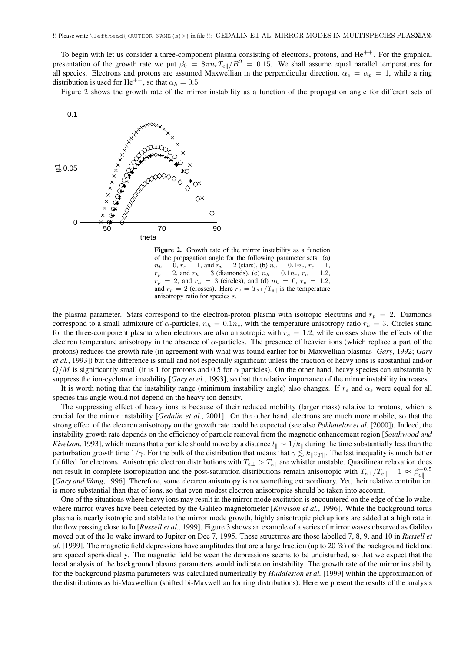To begin with let us consider a three-component plasma consisting of electrons, protons, and  $He^{++}$ . For the graphical presentation of the growth rate we put  $\beta_0 = 8\pi n_e T_{el}/B^2 = 0.15$ . We shall assume equal parallel temperatures for all species. Electrons and protons are assumed Maxwellian in the perpendicular direction,  $\alpha_e = \alpha_p = 1$ , while a ring distribution is used for He<sup>++</sup>, so that  $\alpha_h = 0.5$ .

Figure 2 shows the growth rate of the mirror instability as a function of the propagation angle for different sets of



Figure 2. Growth rate of the mirror instability as a function of the propagation angle for the following parameter sets: (a)  $n_h = 0$ ,  $r_e = 1$ , and  $r_p = 2$  (stars), (b)  $n_h = 0.1 n_e$ ,  $r_e = 1$ ,  $r_p = 2$ , and  $r_h = 3$  (diamonds), (c)  $n_h = 0.1 n_e$ ,  $r_e = 1.2$ ,  $r_p = 2$ , and  $r_h = 3$  (circles), and (d)  $n_h = 0$ ,  $r_e = 1.2$ , and  $r_p = 2$  (crosses). Here  $r_s = T_{s\perp}/T_{s\parallel}$  is the temperature anisotropy ratio for species s.

the plasma parameter. Stars correspond to the electron-proton plasma with isotropic electrons and  $r_p = 2$ . Diamonds correspond to a small admixture of  $\alpha$ -particles,  $n_h = 0.1n_e$ , with the temperature anisotropy ratio  $r_h = 3$ . Circles stand for the three-component plasma when electrons are also anisotropic with  $r_e = 1.2$ , while crosses show the effects of the electron temperature anisotropy in the absence of  $\alpha$ -particles. The presence of heavier ions (which replace a part of the protons) reduces the growth rate (in agreement with what was found earlier for bi-Maxwellian plasmas [*Gary*, 1992; *Gary et al.*, 1993]) but the difference is small and not especially significant unless the fraction of heavy ions is substantial and/or  $Q/M$  is significantly small (it is 1 for protons and 0.5 for  $\alpha$  particles). On the other hand, heavy species can substantially suppress the ion-cyclotron instability [*Gary et al.*, 1993], so that the relative importance of the mirror instability increases.

It is worth noting that the instability range (minimum instability angle) also changes. If  $r_s$  and  $\alpha_s$  were equal for all species this angle would not depend on the heavy ion density.

The suppressing effect of heavy ions is because of their reduced mobility (larger mass) relative to protons, which is crucial for the mirror instability [*Gedalin et al.*, 2001]. On the other hand, electrons are much more mobile, so that the strong effect of the electron anisotropy on the growth rate could be expected (see also *Pokhotelov et al.* [2000]). Indeed, the instability growth rate depends on the efficiency of particle removal from the magnetic enhancement region [*Southwood and Kivelson*, 1993], which means that a particle should move by a distance  $l_{\parallel} \sim 1/k_{\parallel}$  during the time substantially less than the perturbation growth time  $1/\gamma$ . For the bulk of the distribution that means that  $\gamma \lesssim k_{\parallel}v_{T\parallel}$ . The last inequality is much better fulfilled for electrons. Anisotropic electron distributions with  $T_{e\perp} > T_{e\parallel}$  are whistler unstable. Quasilinear relaxation does not result in complete isotropization and the post-saturation distributions remain anisotropic with  $T_{e\perp}/T_{e\parallel} - 1 \approx \beta_{e\parallel}^{-0.5}$ [*Gary and Wang*, 1996]. Therefore, some electron anisotropy is not something extraordinary. Yet, their relative contribution is more substantial than that of ions, so that even modest electron anisotropies should be taken into account.

One of the situations where heavy ions may result in the mirror mode excitation is encountered on the edge of the Io wake, where mirror waves have been detected by the Galileo magnetometer [*Kivelson et al.*, 1996]. While the background torus plasma is nearly isotropic and stable to the mirror mode growth, highly anisotropic pickup ions are added at a high rate in the flow passing close to Io [*Russell et al.*, 1999]. Figure 3 shows an example of a series of mirror waves observed as Galileo moved out of the Io wake inward to Jupiter on Dec 7, 1995. These structures are those labelled 7, 8, 9, and 10 in *Russell et al.* [1999]. The magnetic field depressions have amplitudes that are a large fraction (up to 20 %) of the background field and are spaced aperiodically. The magnetic field between the depressions seems to be undisturbed, so that we expect that the local analysis of the background plasma parameters would indicate on instability. The growth rate of the mirror instability for the background plasma parameters was calculated numerically by *Huddleston et al.* [1999] within the approximation of the distributions as bi-Maxwellian (shifted bi-Maxwellian for ring distributions). Here we present the results of the analysis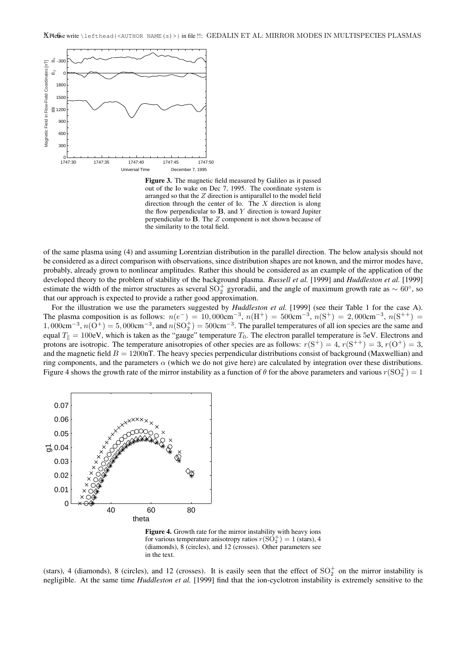

Figure 3. The magnetic field measured by Galileo as it passed out of the Io wake on Dec 7, 1995. The coordinate system is arranged so that the  $Z$  direction is antiparallel to the model field direction through the center of Io. The X direction is along the flow perpendicular to  $B$ , and  $Y$  direction is toward Jupiter perpendicular to B. The Z component is not shown because of the similarity to the total field.

of the same plasma using (4) and assuming Lorentzian distribution in the parallel direction. The below analysis should not be considered as a direct comparison with observations, since distribution shapes are not known, and the mirror modes have, probably, already grown to nonlinear amplitudes. Rather this should be considered as an example of the application of the developed theory to the problem of stability of the background plasma. *Russell et al.* [1999] and *Huddleston et al.* [1999] estimate the width of the mirror structures as several SO<sup>+</sup> gyroradii, and the angle of maximum growth rate as  $\sim 60^{\circ}$ , so that our approach is expected to provide a rather good approximation.

For the illustration we use the parameters suggested by *Huddleston et al.* [1999] (see their Table 1 for the case A). The plasma composition is as follows:  $n(e^-) = 10,000$ cm<sup>-3</sup>,  $n(H^+) = 500$ cm<sup>-3</sup>,  $n(S^+) = 2,000$ cm<sup>-3</sup>,  $n(S^{++}) =$  $1,000 \text{cm}^{-3}, n(\text{O}^+) = 5,000 \text{cm}^{-3}, \text{ and } n(\text{SO}_2^+) = 500 \text{cm}^{-3}$ . The parallel temperatures of all ion species are the same and equal  $T_{\parallel} = 100$ eV, which is taken as the "gauge" temperature  $T_0$ . The electron parallel temperature is 5eV. Electrons and protons are isotropic. The temperature anisotropies of other species are as follows:  $r(S^+) = 4$ ,  $r(S^{++}) = 3$ ,  $r(O^+) = 3$ , and the magnetic field  $B = 1200$ nT. The heavy species perpendicular distributions consist of background (Maxwellian) and ring components, and the parameters  $\alpha$  (which we do not give here) are calculated by integration over these distributions. Figure 4 shows the growth rate of the mirror instability as a function of  $\theta$  for the above parameters and various  $r(SO_2^+) = 1$ 



Figure 4. Growth rate for the mirror instability with heavy ions for various temperature anisotropy ratios  $r(SO_2^+) = 1$  (stars), 4 (diamonds), 8 (circles), and 12 (crosses). Other parameters see in the text.

(stars), 4 (diamonds), 8 (circles), and 12 (crosses). It is easily seen that the effect of  $SO_2^+$  on the mirror instability is negligible. At the same time *Huddleston et al.* [1999] find that the ion-cyclotron instability is extremely sensitive to the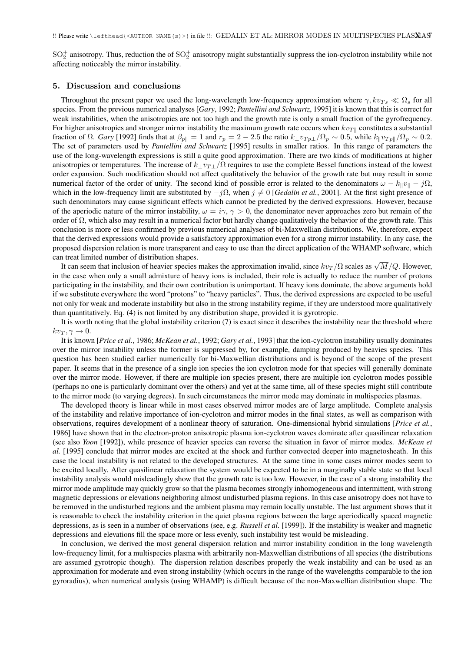$SO_2^+$  anisotropy. Thus, reduction the of  $SO_2^+$  anisotropy might substantially suppress the ion-cyclotron instability while not affecting noticeably the mirror instability.

#### 5. Discussion and conclusions

Throughout the present paper we used the long-wavelength low-frequency approximation where  $\gamma$ ,  $kv_{Ts} \ll \Omega_s$  for all species. From the previous numerical analyses [*Gary*, 1992; *Pantellini and Schwartz*, 1995] it is known that this is correct for weak instabilities, when the anisotropies are not too high and the growth rate is only a small fraction of the gyrofrequency. For higher anisotropies and stronger mirror instability the maximum growth rate occurs when  $kv_{\text{TH}}$  constitutes a substantial fraction of  $\Omega$ . *Gary* [1992] finds that at  $\beta_{p\parallel} = 1$  and  $r_p = 2 - 2.5$  the ratio  $k_{\perp}v_{Tp\perp}/\Omega_p \sim 0.5$ , while  $k_{\parallel}v_{Tp\parallel}/\Omega_p \sim 0.2$ . The set of parameters used by *Pantellini and Schwartz* [1995] results in smaller ratios. In this range of parameters the use of the long-wavelength expressions is still a quite good approximation. There are two kinds of modifications at higher anisotropies or temperatures. The increase of  $k_{\perp}v_{T\perp}/\Omega$  requires to use the complete Bessel functions instead of the lowest order expansion. Such modification should not affect qualitatively the behavior of the growth rate but may result in some numerical factor of the order of unity. The second kind of possible error is related to the denominators  $\omega - k_{\parallel}v_{\parallel} - j\Omega$ , which in the low-frequency limit are substituted by  $-j\Omega$ , when  $j \neq 0$  [*Gedalin et al.*, 2001]. At the first sight presence of such denominators may cause significant effects which cannot be predicted by the derived expressions. However, because of the aperiodic nature of the mirror instability,  $\omega = i\gamma$ ,  $\gamma > 0$ , the denominator never approaches zero but remain of the order of  $\Omega$ , which also may result in a numerical factor but hardly change qualitatively the behavior of the growth rate. This conclusion is more or less confirmed by previous numerical analyses of bi-Maxwellian distributions. We, therefore, expect that the derived expressions would provide a satisfactory approximation even for a strong mirror instability. In any case, the proposed dispersion relation is more transparent and easy to use than the direct application of the WHAMP software, which can treat limited number of distribution shapes.

The interminated number of distribution shapes.<br>It can seem that inclusion of heavier species makes the approximation invalid, since  $kv_T/\Omega$  scales as  $\sqrt{M}/Q$ . However, in the case when only a small admixture of heavy ions is included, their role is actually to reduce the number of protons participating in the instability, and their own contribution is unimportant. If heavy ions dominate, the above arguments hold if we substitute everywhere the word "protons" to "heavy particles". Thus, the derived expressions are expected to be useful not only for weak and moderate instability but also in the strong instability regime, if they are understood more qualitatively than quantitatively. Eq. (4) is not limited by any distribution shape, provided it is gyrotropic.

It is worth noting that the global instability criterion (7) is exact since it describes the instability near the threshold where  $kv_T, \gamma \rightarrow 0.$ 

It is known [*Price et al.*, 1986; *McKean et al.*, 1992; *Gary et al.*, 1993] that the ion-cyclotron instability usually dominates over the mirror instability unless the former is suppressed by, for example, damping produced by heavies species. This question has been studied earlier numerically for bi-Maxwellian distributions and is beyond of the scope of the present paper. It seems that in the presence of a single ion species the ion cyclotron mode for that species will generally dominate over the mirror mode. However, if there are multiple ion species present, there are multiple ion cyclotron modes possible (perhaps no one is particularly dominant over the others) and yet at the same time, all of these species might still contribute to the mirror mode (to varying degrees). In such circumstances the mirror mode may dominate in multispecies plasmas.

The developed theory is linear while in most cases observed mirror modes are of large amplitude. Complete analysis of the instability and relative importance of ion-cyclotron and mirror modes in the final states, as well as comparison with observations, requires development of a nonlinear theory of saturation. One-dimensional hybrid simulations [*Price et al.*, 1986] have shown that in the electron-proton anisotropic plasma ion-cyclotron waves dominate after quasilinear relaxation (see also *Yoon* [1992]), while presence of heavier species can reverse the situation in favor of mirror modes. *McKean et al.* [1995] conclude that mirror modes are excited at the shock and further convected deeper into magnetosheath. In this case the local instability is not related to the developed structures. At the same time in some cases mirror modes seem to be excited locally. After quasilinear relaxation the system would be expected to be in a marginally stable state so that local instability analysis would misleadingly show that the growth rate is too low. However, in the case of a strong instability the mirror mode amplitude may quickly grow so that the plasma becomes strongly inhomogeneous and intermittent, with strong magnetic depressions or elevations neighboring almost undisturbed plasma regions. In this case anisotropy does not have to be removed in the undisturbed regions and the ambient plasma may remain locally unstable. The last argument shows that it is reasonable to check the instability criterion in the quiet plasma regions between the large aperiodically spaced magnetic depressions, as is seen in a number of observations (see, e.g. *Russell et al.* [1999]). If the instability is weaker and magnetic depressions and elevations fill the space more or less evenly, such instability test would be misleading.

In conclusion, we derived the most general dispersion relation and mirror instability condition in the long wavelength low-frequency limit, for a multispecies plasma with arbitrarily non-Maxwellian distributions of all species (the distributions are assumed gyrotropic though). The dispersion relation describes properly the weak instability and can be used as an approximation for moderate and even strong instability (which occurs in the range of the wavelengths comparable to the ion gyroradius), when numerical analysis (using WHAMP) is difficult because of the non-Maxwellian distribution shape. The